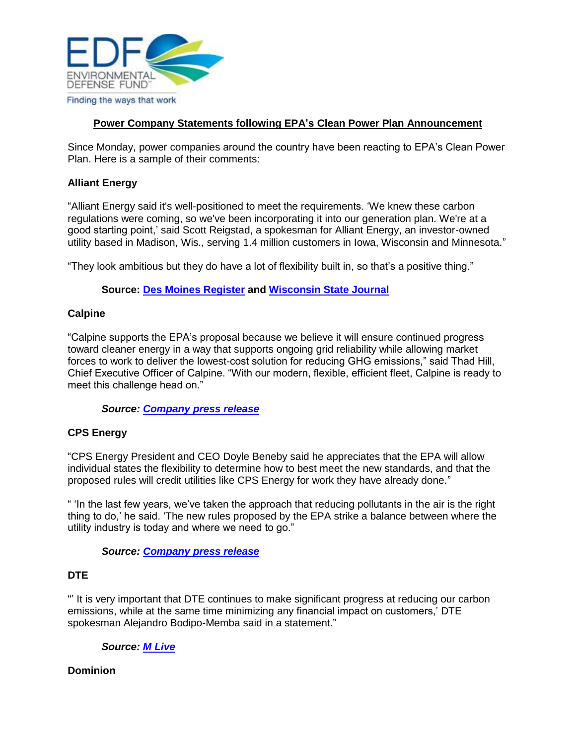

# **Power Company Statements following EPA's Clean Power Plan Announcement**

Since Monday, power companies around the country have been reacting to EPA's Clean Power Plan. Here is a sample of their comments:

## **Alliant Energy**

"Alliant Energy said it's well-positioned to meet the requirements. 'We knew these carbon regulations were coming, so we've been incorporating it into our generation plan. We're at a good starting point,' said Scott Reigstad, a spokesman for Alliant Energy, an investor-owned utility based in Madison, Wis., serving 1.4 million customers in Iowa, Wisconsin and Minnesota."

"They look ambitious but they do have a lot of flexibility built in, so that's a positive thing."

## **Source: [Des Moines Register](http://www.desmoinesregister.com/story/money/business/2014/06/03/emissions-plan-easier-iowa/9899447/) and [Wisconsin State Journal](http://host.madison.com/business/epa-proposes-cleaner-air-from-existing-coal-fired-power-plants/article_9c0ce7c6-d868-536d-9eb4-3fbac07307f2.html#ixzz33bYTfsKz)**

### **Calpine**

"Calpine supports the EPA's proposal because we believe it will ensure continued progress toward cleaner energy in a way that supports ongoing grid reliability while allowing market forces to work to deliver the lowest-cost solution for reducing GHG emissions," said Thad Hill, Chief Executive Officer of Calpine. "With our modern, flexible, efficient fleet, Calpine is ready to meet this challenge head on."

#### *Source: [Company press release](http://phx.corporate-ir.net/phoenix.zhtml?c=103361&p=irol-newsArticle&ID=1936392&highlight=)*

#### **CPS Energy**

"CPS Energy President and CEO Doyle Beneby said he appreciates that the EPA will allow individual states the flexibility to determine how to best meet the new standards, and that the proposed rules will credit utilities like CPS Energy for work they have already done."

" 'In the last few years, we've taken the approach that reducing pollutants in the air is the right thing to do,' he said. 'The new rules proposed by the EPA strike a balance between where the utility industry is today and where we need to go."

*Source: [Company press release](http://newsroom.cpsenergy.com/blog/news-flashes/cps-energy-prepared-epa-carbon-rules/)*

#### **DTE**

"' It is very important that DTE continues to make significant progress at reducing our carbon emissions, while at the same time minimizing any financial impact on customers,' DTE spokesman Alejandro Bodipo-Memba said in a statement."

#### *Source: [M Live](http://www.mlive.com/lansing-news/index.ssf/2014/06/epa_carbon_pollution_rules_mic.html)*

#### **Dominion**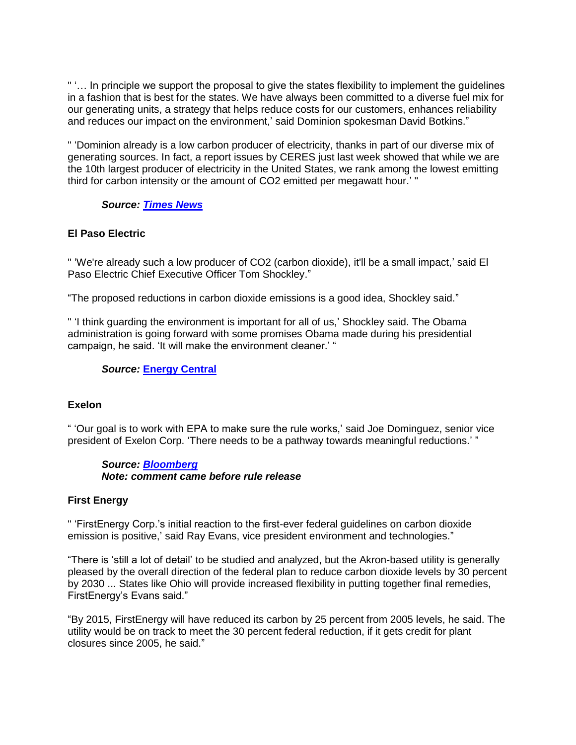" '… In principle we support the proposal to give the states flexibility to implement the guidelines in a fashion that is best for the states. We have always been committed to a diverse fuel mix for our generating units, a strategy that helps reduce costs for our customers, enhances reliability and reduces our impact on the environment,' said Dominion spokesman David Botkins."

" 'Dominion already is a low carbon producer of electricity, thanks in part of our diverse mix of generating sources. In fact, a report issues by CERES just last week showed that while we are the 10th largest producer of electricity in the United States, we rank among the lowest emitting third for carbon intensity or the amount of CO2 emitted per megawatt hour.' "

### *Source: [Times News](http://www.timesnews.net/article/9077682/dominion-analyzes-obama-power-plant-rules)*

### **El Paso Electric**

" 'We're already such a low producer of CO2 (carbon dioxide), it'll be a small impact,' said El Paso Electric Chief Executive Officer Tom Shockley."

"The proposed reductions in carbon dioxide emissions is a good idea, Shockley said."

" 'I think guarding the environment is important for all of us,' Shockley said. The Obama administration is going forward with some promises Obama made during his presidential campaign, he said. 'It will make the environment cleaner.' "

### *Source:* **[Energy Central](http://www.energycentral.com/news/en/32678783/El-Paso-Electric-in-good-shape-to-meet-CO2-reduction-plan-CEO-says)**

#### **Exelon**

" 'Our goal is to work with EPA to make sure the rule works,' said Joe Dominguez, senior vice president of Exelon Corp. 'There needs to be a pathway towards meaningful reductions.' "

### *Source: [Bloomberg](http://www.bloomberg.com/news/2014-05-22/obama-divides-power-players-with-rule-utilities-accept.html) Note: comment came before rule release*

#### **First Energy**

" 'FirstEnergy Corp.'s initial reaction to the first-ever federal guidelines on carbon dioxide emission is positive,' said Ray Evans, vice president environment and technologies."

"There is 'still a lot of detail' to be studied and analyzed, but the Akron-based utility is generally pleased by the overall direction of the federal plan to reduce carbon dioxide levels by 30 percent by 2030 ... States like Ohio will provide increased flexibility in putting together final remedies, FirstEnergy's Evans said."

"By 2015, FirstEnergy will have reduced its carbon by 25 percent from 2005 levels, he said. The utility would be on track to meet the 30 percent federal reduction, if it gets credit for plant closures since 2005, he said."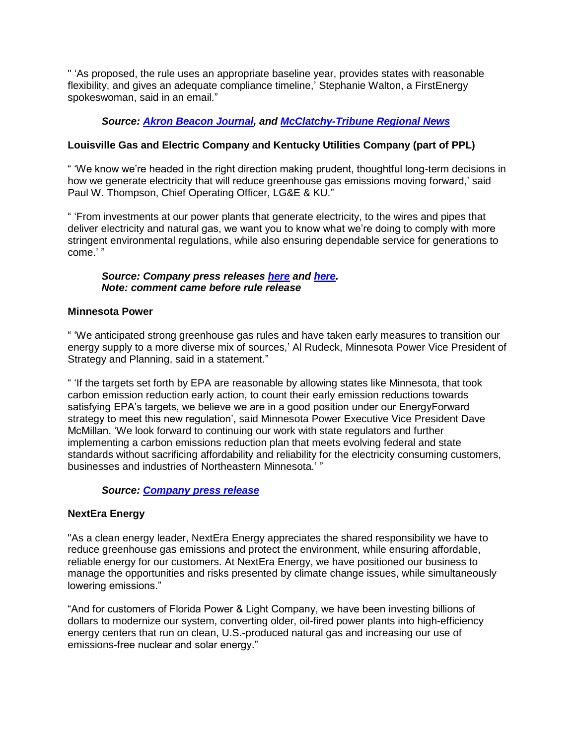" 'As proposed, the rule uses an appropriate baseline year, provides states with reasonable flexibility, and gives an adequate compliance timeline,' Stephanie Walton, a FirstEnergy spokeswoman, said in an email."

## *Source: [Akron Beacon Journal,](http://www.ohio.com/news/break-news/firstenergy-corp-says-it-is-in-good-position-to-deal-with-first-ever-federal-carbon-limits-1.492798) and [McClatchy-Tribune Regional News](http://www.renewablesbiz.com/article/14/06/firstenergy-were-ready-carbon-emission-rules)*

## **Louisville Gas and Electric Company and Kentucky Utilities Company (part of PPL)**

" 'We know we're headed in the right direction making prudent, thoughtful long-term decisions in how we generate electricity that will reduce greenhouse gas emissions moving forward,' said Paul W. Thompson, Chief Operating Officer, LG&E & KU."

" 'From investments at our power plants that generate electricity, to the wires and pipes that deliver electricity and natural gas, we want you to know what we're doing to comply with more stringent environmental regulations, while also ensuring dependable service for generations to come.' "

### *Source: Company press releases [here](http://lge-ku.com/newsroom/articles/2014/05/30/lge-and-ku-await-epa%E2%80%99s-next-greenhouse-gas-regulation) and [here.](http://lge-ku.com/newsroom/articles/2014/06/03/environmental-investments-reduce-emissions-even-further) Note: comment came before rule release*

## **Minnesota Power**

" 'We anticipated strong greenhouse gas rules and have taken early measures to transition our energy supply to a more diverse mix of sources,' Al Rudeck, Minnesota Power Vice President of Strategy and Planning, said in a statement."

" 'If the targets set forth by EPA are reasonable by allowing states like Minnesota, that took carbon emission reduction early action, to count their early emission reductions towards satisfying EPA's targets, we believe we are in a good position under our EnergyForward strategy to meet this new regulation', said Minnesota Power Executive Vice President Dave McMillan. 'We look forward to continuing our work with state regulators and further implementing a carbon emissions reduction plan that meets evolving federal and state standards without sacrificing affordability and reliability for the electricity consuming customers, businesses and industries of Northeastern Minnesota.' "

## *Source: [Company press release](http://www.mnpower.com/Content/Documents/Company/PressReleases/2014/20140602_NewsRelease.pdf)*

## **NextEra Energy**

"As a clean energy leader, NextEra Energy appreciates the shared responsibility we have to reduce greenhouse gas emissions and protect the environment, while ensuring affordable, reliable energy for our customers. At NextEra Energy, we have positioned our business to manage the opportunities and risks presented by climate change issues, while simultaneously lowering emissions."

"And for customers of Florida Power & Light Company, we have been investing billions of dollars to modernize our system, converting older, oil-fired power plants into high-efficiency energy centers that run on clean, U.S.-produced natural gas and increasing our use of emissions-free nuclear and solar energy."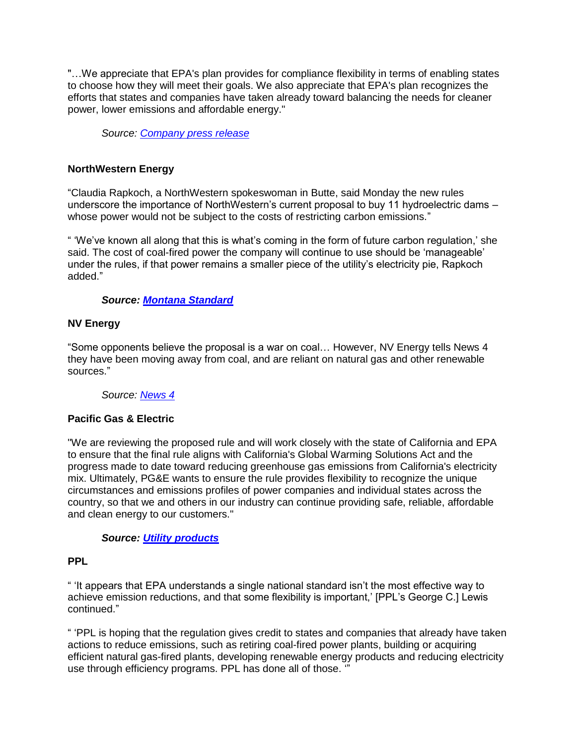"…We appreciate that EPA's plan provides for compliance flexibility in terms of enabling states to choose how they will meet their goals. We also appreciate that EPA's plan recognizes the efforts that states and companies have taken already toward balancing the needs for cleaner power, lower emissions and affordable energy."

*Source: [Company press release](http://www.nexteraenergy.com/news/contents/2014/060214.shtml)*

## **NorthWestern Energy**

"Claudia Rapkoch, a NorthWestern spokeswoman in Butte, said Monday the new rules underscore the importance of NorthWestern's current proposal to buy 11 hydroelectric dams – whose power would not be subject to the costs of restricting carbon emissions."

" 'We've known all along that this is what's coming in the form of future carbon regulation,' she said. The cost of coal-fired power the company will continue to use should be 'manageable' under the rules, if that power remains a smaller piece of the utility's electricity pie, Rapkoch added."

## *Source: [Montana Standard](http://mtstandard.com/news/state-and-regional/montanans-react-to-draft-co-reduction-rules/article_a9567964-eaed-11e3-82c3-0019bb2963f4.html)*

### **NV Energy**

"Some opponents believe the proposal is a war on coal… However, NV Energy tells News 4 they have been moving away from coal, and are reliant on natural gas and other renewable sources."

#### *Source: [News 4](http://www.mynews4.com/news/local/story/Nevada-and-the-EPAs-proposal-to-cut-carbon/iuIw7nqy10mgplElYtZ3hQ.cspx)*

## **Pacific Gas & Electric**

"We are reviewing the proposed rule and will work closely with the state of California and EPA to ensure that the final rule aligns with California's Global Warming Solutions Act and the progress made to date toward reducing greenhouse gas emissions from California's electricity mix. Ultimately, PG&E wants to ensure the rule provides flexibility to recognize the unique circumstances and emissions profiles of power companies and individual states across the country, so that we and others in our industry can continue providing safe, reliable, affordable and clean energy to our customers."

### *Source: [Utility products](http://www.utilityproducts.com/articles/elp-archives/2014/06/industry-groups-utilities-react-to-proposed-epa-power-plant-emissions-rule.html)*

### **PPL**

" 'It appears that EPA understands a single national standard isn't the most effective way to achieve emission reductions, and that some flexibility is important,' [PPL's George C.] Lewis continued."

" 'PPL is hoping that the regulation gives credit to states and companies that already have taken actions to reduce emissions, such as retiring coal-fired power plants, building or acquiring efficient natural gas-fired plants, developing renewable energy products and reducing electricity use through efficiency programs. PPL has done all of those. '"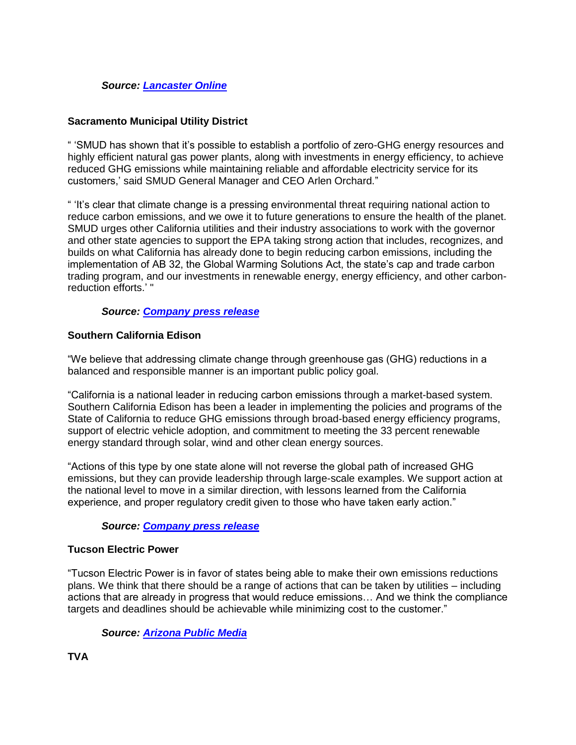## *Source: [Lancaster Online](http://lancasteronline.com/news/local/what-do-first-ever-carbon-dioxide-limits-on-power-plants/article_dfb1c856-ea93-11e3-ac8f-0017a43b2370.html)*

## **Sacramento Municipal Utility District**

" 'SMUD has shown that it's possible to establish a portfolio of zero-GHG energy resources and highly efficient natural gas power plants, along with investments in energy efficiency, to achieve reduced GHG emissions while maintaining reliable and affordable electricity service for its customers,' said SMUD General Manager and CEO Arlen Orchard."

" 'It's clear that climate change is a pressing environmental threat requiring national action to reduce carbon emissions, and we owe it to future generations to ensure the health of the planet. SMUD urges other California utilities and their industry associations to work with the governor and other state agencies to support the EPA taking strong action that includes, recognizes, and builds on what California has already done to begin reducing carbon emissions, including the implementation of AB 32, the Global Warming Solutions Act, the state's cap and trade carbon trading program, and our investments in renewable energy, energy efficiency, and other carbonreduction efforts.' "

#### *Source: [Company press release](https://www.smud.org/en/about-smud/news-media/news-releases/2014/2014-06-02-EPA-Rule-111d.htm)*

### **Southern California Edison**

"We believe that addressing climate change through greenhouse gas (GHG) reductions in a balanced and responsible manner is an important public policy goal.

"California is a national leader in reducing carbon emissions through a market-based system. Southern California Edison has been a leader in implementing the policies and programs of the State of California to reduce GHG emissions through broad-based energy efficiency programs, support of electric vehicle adoption, and commitment to meeting the 33 percent renewable energy standard through solar, wind and other clean energy sources.

"Actions of this type by one state alone will not reverse the global path of increased GHG emissions, but they can provide leadership through large-scale examples. We support action at the national level to move in a similar direction, with lessons learned from the California experience, and proper regulatory credit given to those who have taken early action."

### *Source: [Company press release](http://newsroom.edison.com/releases/edison-international-responds-to-epas-regulation-to-control-power-plant-emissions)*

#### **Tucson Electric Power**

"Tucson Electric Power is in favor of states being able to make their own emissions reductions plans. We think that there should be a range of actions that can be taken by utilities – including actions that are already in progress that would reduce emissions… And we think the compliance targets and deadlines should be achievable while minimizing cost to the customer."

#### *Source: [Arizona Public Media](https://news.azpm.org/p/nat-enviro-news/2014/6/2/36622-epa-az-has-to-cut-emissions-by-half-from-power-plants/)*

**TVA**